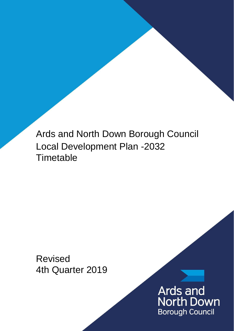Ards and North Down Borough Council Local Development Plan -2032 **Timetable** 

Revised 4th Quarter 2019

> Ards and **North Down Borough Council**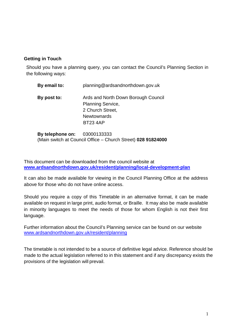# **Getting in Touch**

Should you have a planning query, you can contact the Council's Planning Section in the following ways:

| By email to: | planning@ardsandnorthdown.gov.uk                                                                                             |  |
|--------------|------------------------------------------------------------------------------------------------------------------------------|--|
| By post to:  | Ards and North Down Borough Council<br><b>Planning Service,</b><br>2 Church Street,<br><b>Newtownards</b><br><b>BT23 4AP</b> |  |
|              |                                                                                                                              |  |

**By telephone on:** 03000133333 (Main switch at Council Office – Church Street) **028 91824000**

This document can be downloaded from the council website at **[www.ardsandnorthdown.gov.uk/resident/planning/local-development-plan](http://www.ardsandnorthdown.gov.uk/resident/planning/local-development-plan)**

It can also be made available for viewing in the Council Planning Office at the address above for those who do not have online access.

Should you require a copy of this Timetable in an alternative format, it can be made available on request in large print, audio format, or Braille. It may also be made available in minority languages to meet the needs of those for whom English is not their first language.

Further information about the Council's Planning service can be found on our website [www.ardsandnorthdown.gov.uk/resident/planning](http://www.ardsandnorthdown.gov.uk/resident/planning)

The timetable is not intended to be a source of definitive legal advice. Reference should be made to the actual legislation referred to in this statement and if any discrepancy exists the provisions of the legislation will prevail.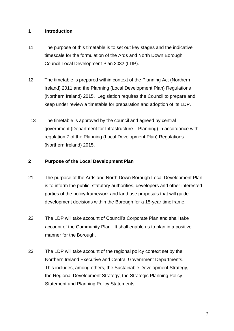# **1 Introduction**

- 1.1 The purpose of this timetable is to set out key stages and the indicative timescale for the formulation of the Ards and North Down Borough Council Local Development Plan 2032 (LDP).
- 1.2 The timetable is prepared within context of the Planning Act (Northern Ireland) 2011 and the Planning (Local Development Plan) Regulations (Northern Ireland) 2015. Legislation requires the Council to prepare and keep under review a timetable for preparation and adoption of its LDP.
- 1.3 The timetable is approved by the council and agreed by central government (Department for Infrastructure – Planning) in accordance with regulation 7 of the Planning (Local Development Plan) Regulations (Northern Ireland) 2015.

### **2 Purpose of the Local Development Plan**

- 21 The purpose of the Ards and North Down Borough Local Development Plan is to inform the public, statutory authorities, developers and other interested parties of the policy framework and land use proposals that will guide development decisions within the Borough for a 15-year time frame.
- 22 The LDP will take account of Council's Corporate Plan and shall take account of the Community Plan. It shall enable us to plan in a positive manner for the Borough.
- 23 The LDP will take account of the regional policy context set by the Northern Ireland Executive and Central Government Departments. This includes, among others, the Sustainable Development Strategy, the Regional Development Strategy, the Strategic Planning Policy Statement and Planning Policy Statements.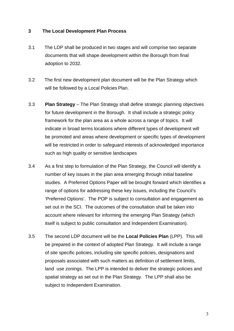### **3 The Local Development Plan Process**

- 3.1 The LDP shall be produced in two stages and will comprise two separate documents that will shape development within the Borough from final adoption to 2032.
- 3.2 The first new development plan document will be the Plan Strategy which will be followed by a Local Policies Plan.
- 3.3 **Plan Strategy**  The Plan Strategy shall define strategic planning objectives for future development in the Borough. It shall include a strategic policy framework for the plan area as a whole across a range of topics. It will indicate in broad terms locations where different types of development will be promoted and areas where development or specific types of development will be restricted in order to safeguard interests of acknowledged importance such as high quality or sensitive landscapes
- 3.4 As a first step to formulation of the Plan Strategy, the Council will identify a number of key issues in the plan area emerging through initial baseline studies. A Preferred Options Paper will be brought forward which identifies a range of options for addressing these key issues, including the Council's 'Preferred Options'. The POP is subject to consultation and engagement as set out in the SCI. The outcomes of the consultation shall be taken into account where relevant for informing the emerging Plan Strategy (which itself is subject to public consultation and Independent Examination).
- 3.5 The second LDP document will be the **Local Policies Plan** (LPP). This will be prepared in the context of adopted Plan Strategy. It will include a range of site specific policies, including site specific policies, designations and proposals associated with such matters as definition of settlement limits, land use zonings. The LPP is intended to deliver the strategic policies and spatial strategy as set out in the Plan Strategy. The LPP shall also be subject to Independent Examination.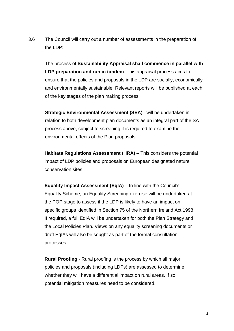3.6 The Council will carry out a number of assessments in the preparation of the LDP:

The process of **Sustainability Appraisal shall commence in parallel with LDP preparation and run in tandem**. This appraisal process aims to ensure that the policies and proposals in the LDP are socially, economically and environmentally sustainable. Relevant reports will be published at each of the key stages of the plan making process.

**Strategic Environmental Assessment (SEA)** –will be undertaken in relation to both development plan documents as an integral part of the SA process above, subject to screening it is required to examine the environmental effects of the Plan proposals.

**Habitats Regulations Assessment (HRA) – This considers the potential** impact of LDP policies and proposals on European designated nature conservation sites.

**Equality Impact Assessment (EqIA)** – In line with the Council's Equality Scheme, an Equality Screening exercise will be undertaken at the POP stage to assess if the LDP is likely to have an impact on specific groups identified in Section 75 of the Northern Ireland Act 1998. If required, a full EqIA will be undertaken for both the Plan Strategy and the Local Policies Plan. Views on any equality screening documents or draft EqIAs will also be sought as part of the formal consultation processes.

**Rural Proofing** - Rural proofing is the process by which all major policies and proposals (including LDPs) are assessed to determine whether they will have a differential impact on rural areas. If so, potential mitigation measures need to be considered.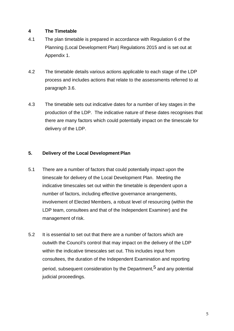## **4 The Timetable**

- 4.1 The plan timetable is prepared in accordance with Regulation 6 of the Planning (Local Development Plan) Regulations 2015 and is set out at Appendix 1.
- 4.2 The timetable details various actions applicable to each stage of the LDP process and includes actions that relate to the assessments referred to at paragraph 3.6.
- 4.3 The timetable sets out indicative dates for a number of key stages in the production of the LDP. The indicative nature of these dates recognises that there are many factors which could potentially impact on the timescale for delivery of the LDP.

## **5. Delivery of the Local Development Plan**

- 5.1 There are a number of factors that could potentially impact upon the timescale for delivery of the Local Development Plan. Meeting the indicative timescales set out within the timetable is dependent upon a number of factors, including effective governance arrangements, involvement of Elected Members, a robust level of resourcing (within the LDP team, consultees and that of the Independent Examiner) and the management of risk.
- 5.2 It is essential to set out that there are a number of factors which are outwith the Council's control that may impact on the delivery of the LDP within the indicative timescales set out. This includes input from consultees, the duration of the Independent Examination and reporting period, subsequent consideration by the Department,<sup>5</sup> and any potential judicial proceedings.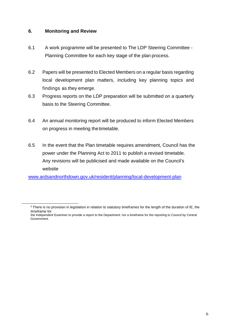### **6. Monitoring and Review**

- 6.1 A work programme will be presented to The LDP Steering Committee Planning Committee for each key stage of the plan process.
- 6.2 Papers will be presented to Elected Members on a regular basis regarding local development plan matters, including key planning topics and findings as they emerge.
- 6.3 Progress reports on the LDP preparation will be submitted on a quarterly basis to the Steering Committee.
- 6.4 An annual monitoring report will be produced to inform Elected Members on progress in meeting thetimetable.
- 6.5 In the event that the Plan timetable requires amendment, Council has the power under the Planning Act to 2011 to publish a revised timetable. Any revisions will be publicised and made available on the Council's website

[www.ardsandnorthdown.gov.uk/resident/planning/local-development-plan](http://www.ardsandnorthdown.gov.uk/resident/planning/local-development-plan)

<sup>&</sup>lt;sup>5</sup> There is no provision in legislation in relation to statutory timeframes for the length of the duration of IE, the timeframe for

the Independent Examiner to provide a report to the Department; nor a timeframe for the reporting to Council by Central Government.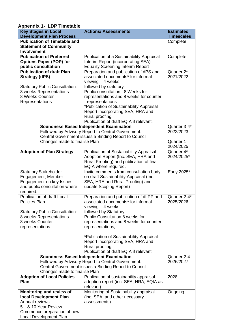| <b>Key Stages in Local</b>                         | <b>Actions/ Assessments</b>                                                  | <b>Estimated</b>  |
|----------------------------------------------------|------------------------------------------------------------------------------|-------------------|
| <b>Development Plan Process</b>                    |                                                                              | <b>Timescales</b> |
| <b>Publication of Timetable and</b>                |                                                                              | Complete          |
| <b>Statement of Community</b>                      |                                                                              |                   |
| <b>Involvement</b>                                 |                                                                              |                   |
| <b>Publication of Preferred</b>                    | Publication of a Sustainability Appraisal                                    | Complete          |
| <b>Options Paper (POP) for</b>                     | Interim Report (incorporating SEA)                                           |                   |
| public consultation                                | <b>Equality Screening Interim Report</b>                                     |                   |
| <b>Publication of draft Plan</b>                   | Preparation and publication of dPS and<br>associated documents* for informal | Quarter 2*        |
| <b>Strategy (dPS)</b>                              | viewing $-4$ weeks                                                           | 2021/2022         |
| <b>Statutory Public Consultation:</b>              | followed by statutory                                                        |                   |
| 8 weeks Representations                            | Public consultation. 8 Weeks for                                             |                   |
| 8 Weeks Counter                                    | representations and 8 weeks for counter                                      |                   |
| Representations                                    | - representations                                                            |                   |
|                                                    | *Publication of Sustainability Appraisal                                     |                   |
|                                                    | Report incorporating SEA, HRA and                                            |                   |
|                                                    | Rural proofing.                                                              |                   |
|                                                    | Publication of draft EQIA if relevant.                                       |                   |
|                                                    | <b>Soundness Based Independent Examination</b>                               | Quarter 3-4*      |
|                                                    | Followed by Advisory Report to Central Government.                           | 2022/2023-        |
|                                                    | Central Government issues a Binding Report to Council                        |                   |
| Changes made to finalise Plan                      | Quarter 1                                                                    |                   |
|                                                    |                                                                              | 2024/2025         |
| <b>Adoption of Plan Strategy</b>                   | <b>Publication of Sustainability Appraisal</b>                               | Quarter 4*        |
|                                                    | Adoption Report (Inc. SEA, HRA and                                           | 2024/2025*        |
|                                                    | Rural Proofing) and publication of final                                     |                   |
| <b>Statutory Stakeholder</b>                       | EQIA where required.<br>Invite comments from consultation body               | Early 2025*       |
| Engagement; Member                                 | on draft Sustainability Appraisal (Inc.                                      |                   |
| Engagement on key Issues                           | SEA, HRA and Rural Proofing) and                                             |                   |
| and public consultation where                      | update Scoping Report)                                                       |                   |
| required.                                          |                                                                              |                   |
| <b>Publication of draft Local</b>                  | Preparation and publication of dLPP and                                      | Quarter 2-4*      |
| Policies Plan                                      | associated documents* for informal                                           | 2025/2026         |
|                                                    | viewing $-4$ weeks                                                           |                   |
| <b>Statutory Public Consultation:</b>              | followed by Statutory                                                        |                   |
| 8 weeks Representations                            | <b>Public Consultation 8 weeks for</b>                                       |                   |
| 8 weeks Counter                                    | representations and 8 weeks for counter                                      |                   |
| representations                                    | representations,                                                             |                   |
|                                                    |                                                                              |                   |
|                                                    | *Publication of Sustainability Appraisal                                     |                   |
|                                                    | Report incorporating SEA, HRA and<br>Rural proofing.                         |                   |
|                                                    | Publication of draft EQIA if relevant                                        |                   |
|                                                    | <b>Soundness Based Independent Examination</b>                               | Quarter 2-4       |
| Followed by Advisory Report to Central Government. |                                                                              | 2026/2027         |
|                                                    | Central Government issues a Binding Report to Council                        |                   |
| Changes made to finalise Plan                      |                                                                              |                   |
| <b>Adoption of Local Policies</b>                  | Publication of sustainability appraisal                                      | 2028              |
| Plan                                               | adoption report (inc. SEA, HRA, EQIA as                                      |                   |
|                                                    | relevant)                                                                    |                   |
| Monitoring and review of                           | Monitoring of Sustainability appraisal                                       | Ongoing           |
| local Development Plan                             | (inc, SEA, and other necessary                                               |                   |
| Annual reviews                                     | assessments)                                                                 |                   |
| & 10 Year Review<br>5.                             |                                                                              |                   |
| Commence preparation of new                        |                                                                              |                   |
| Local Development Plan                             |                                                                              |                   |

# **Appendix 1- LDP Timetable**